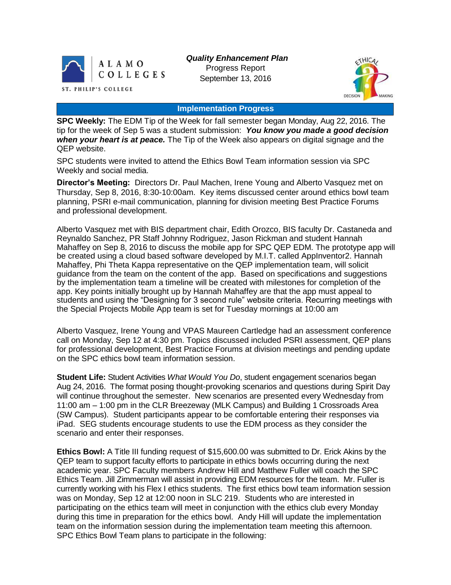

*Quality Enhancement Plan* Progress Report September 13, 2016



#### **Implementation Progress**

**SPC Weekly:** The EDM Tip of the Week for fall semester began Monday, Aug 22, 2016. The tip for the week of Sep 5 was a student submission: *You know you made a good decision when your heart is at peace.* The Tip of the Week also appears on digital signage and the QEP website.

SPC students were invited to attend the Ethics Bowl Team information session via SPC Weekly and social media.

**Director's Meeting:** Directors Dr. Paul Machen, Irene Young and Alberto Vasquez met on Thursday, Sep 8, 2016, 8:30-10:00am. Key items discussed center around ethics bowl team planning, PSRI e-mail communication, planning for division meeting Best Practice Forums and professional development.

Alberto Vasquez met with BIS department chair, Edith Orozco, BIS faculty Dr. Castaneda and Reynaldo Sanchez, PR Staff Johnny Rodriguez, Jason Rickman and student Hannah Mahaffey on Sep 8, 2016 to discuss the mobile app for SPC QEP EDM. The prototype app will be created using a cloud based software developed by M.I.T. called AppInventor2. Hannah Mahaffey, Phi Theta Kappa representative on the QEP implementation team, will solicit guidance from the team on the content of the app. Based on specifications and suggestions by the implementation team a timeline will be created with milestones for completion of the app. Key points initially brought up by Hannah Mahaffey are that the app must appeal to students and using the "Designing for 3 second rule" website criteria. Recurring meetings with the Special Projects Mobile App team is set for Tuesday mornings at 10:00 am

Alberto Vasquez, Irene Young and VPAS Maureen Cartledge had an assessment conference call on Monday, Sep 12 at 4:30 pm. Topics discussed included PSRI assessment, QEP plans for professional development, Best Practice Forums at division meetings and pending update on the SPC ethics bowl team information session.

**Student Life:** Student Activities *What Would You Do*, student engagement scenarios began Aug 24, 2016. The format posing thought-provoking scenarios and questions during Spirit Day will continue throughout the semester. New scenarios are presented every Wednesday from 11:00 am – 1:00 pm in the CLR Breezeway (MLK Campus) and Building 1 Crossroads Area (SW Campus). Student participants appear to be comfortable entering their responses via iPad. SEG students encourage students to use the EDM process as they consider the scenario and enter their responses.

**Ethics Bowl:** A Title III funding request of \$15,600.00 was submitted to Dr. Erick Akins by the QEP team to support faculty efforts to participate in ethics bowls occurring during the next academic year. SPC Faculty members Andrew Hill and Matthew Fuller will coach the SPC Ethics Team. Jill Zimmerman will assist in providing EDM resources for the team. Mr. Fuller is currently working with his Flex I ethics students. The first ethics bowl team information session was on Monday, Sep 12 at 12:00 noon in SLC 219. Students who are interested in participating on the ethics team will meet in conjunction with the ethics club every Monday during this time in preparation for the ethics bowl. Andy Hill will update the implementation team on the information session during the implementation team meeting this afternoon. SPC Ethics Bowl Team plans to participate in the following: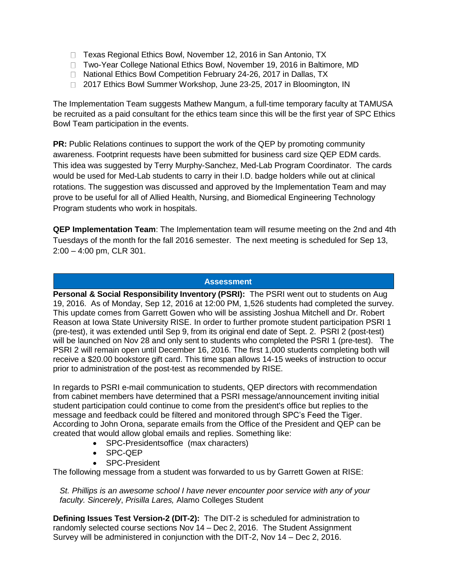- □ Texas Regional Ethics Bowl, November 12, 2016 in San Antonio, TX
- □ Two-Year College National Ethics Bowl, November 19, 2016 in Baltimore, MD
- □ National Ethics Bowl Competition February 24-26, 2017 in Dallas, TX
- □ 2017 Ethics Bowl Summer Workshop, June 23-25, 2017 in Bloomington, IN

The Implementation Team suggests Mathew Mangum, a full-time temporary faculty at TAMUSA be recruited as a paid consultant for the ethics team since this will be the first year of SPC Ethics Bowl Team participation in the events.

**PR:** Public Relations continues to support the work of the QEP by promoting community awareness. Footprint requests have been submitted for business card size QEP EDM cards. This idea was suggested by Terry Murphy-Sanchez, Med-Lab Program Coordinator. The cards would be used for Med-Lab students to carry in their I.D. badge holders while out at clinical rotations. The suggestion was discussed and approved by the Implementation Team and may prove to be useful for all of Allied Health, Nursing, and Biomedical Engineering Technology Program students who work in hospitals.

**QEP Implementation Team**: The Implementation team will resume meeting on the 2nd and 4th Tuesdays of the month for the fall 2016 semester. The next meeting is scheduled for Sep 13, 2:00 – 4:00 pm, CLR 301.

# **Assessment**

**Personal & Social Responsibility Inventory (PSRI):** The PSRI went out to students on Aug 19, 2016. As of Monday, Sep 12, 2016 at 12:00 PM, 1,526 students had completed the survey. This update comes from Garrett Gowen who will be assisting Joshua Mitchell and Dr. Robert Reason at Iowa State University RISE. In order to further promote student participation PSRI 1 (pre-test), it was extended until Sep 9, from its original end date of Sept. 2. PSRI 2 (post-test) will be launched on Nov 28 and only sent to students who completed the PSRI 1 (pre-test). The PSRI 2 will remain open until December 16, 2016. The first 1,000 students completing both will receive a \$20.00 bookstore gift card. This time span allows 14-15 weeks of instruction to occur prior to administration of the post-test as recommended by RISE.

In regards to PSRI e-mail communication to students, QEP directors with recommendation from cabinet members have determined that a PSRI message/announcement inviting initial student participation could continue to come from the president's office but replies to the message and feedback could be filtered and monitored through SPC's Feed the Tiger. According to John Orona, separate emails from the Office of the President and QEP can be created that would allow global emails and replies. Something like:

- SPC-Presidentsoffice (max characters)
- SPC-QEP
- SPC-President

The following message from a student was forwarded to us by Garrett Gowen at RISE:

*St. Phillips is an awesome school I have never encounter poor service with any of your faculty. Sincerely*, *Prisilla Lares,* Alamo Colleges Student

**Defining Issues Test Version-2 (DIT-2):** The DIT-2 is scheduled for administration to randomly selected course sections Nov 14 – Dec 2, 2016. The Student Assignment Survey will be administered in conjunction with the DIT-2, Nov 14 – Dec 2, 2016.